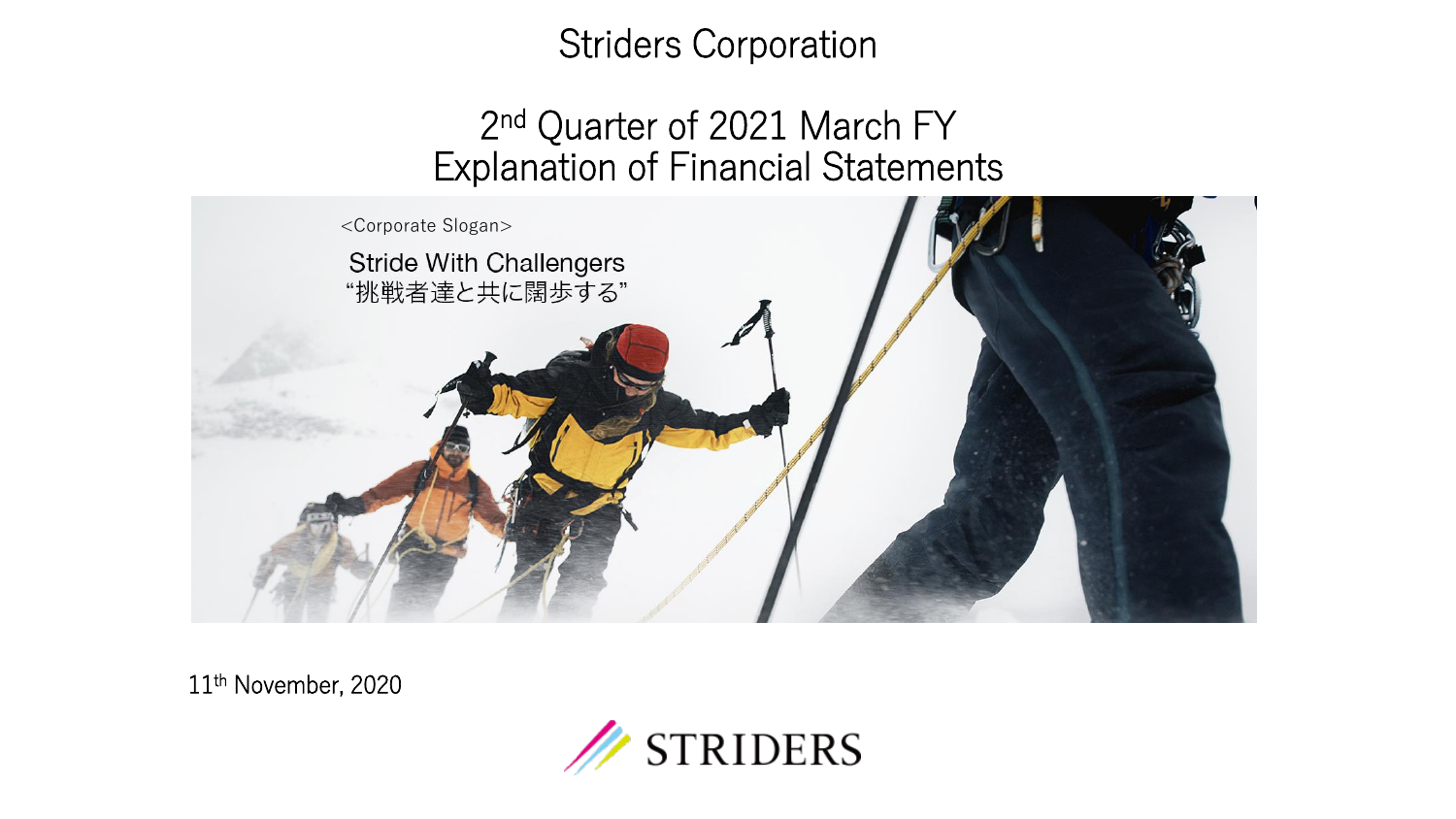### Striders Corporation

### 2<sup>nd</sup> Quarter of 2021 March FY Explanation of Financial Statements



11th November, 2020

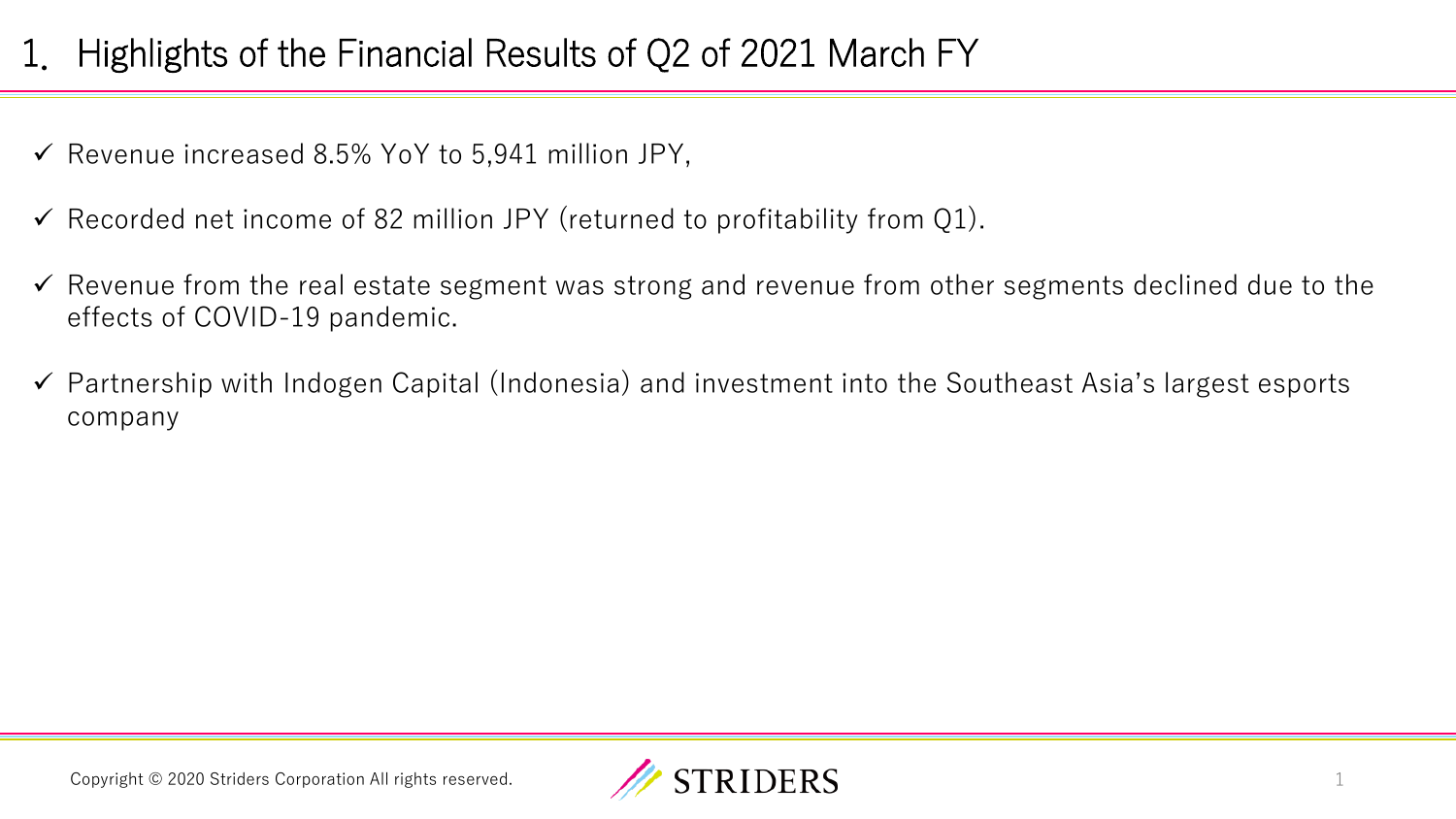# 1. Highlights of the Financial Results of Q2 of 2021 March FY

- $\checkmark$  Revenue increased 8.5% YoY to 5,941 million JPY,
- $\checkmark$  Recorded net income of 82 million JPY (returned to profitability from Q1).
- ✓ Revenue from the real estate segment was strong and revenue from other segments declined due to the effects of COVID-19 pandemic.
- ✓ Partnership with Indogen Capital (Indonesia) and investment into the Southeast Asia's largest esports company

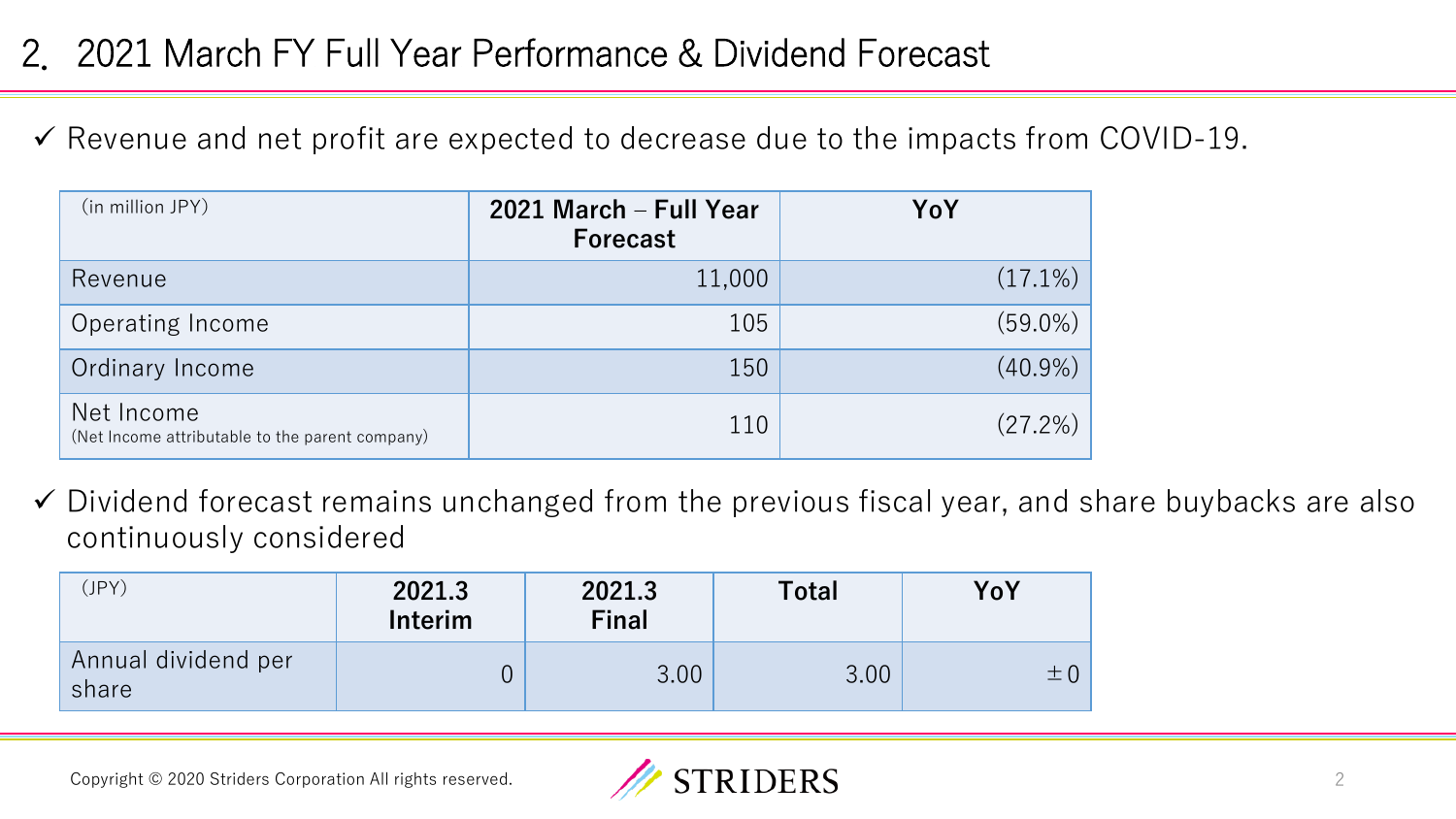## 2.2021 March FY Full Year Performance & Dividend Forecast

✓ Revenue and net profit are expected to decrease due to the impacts from COVID-19.

| (in million JPY)                                              | 2021 March - Full Year<br><b>Forecast</b> | YoY        |
|---------------------------------------------------------------|-------------------------------------------|------------|
| Revenue                                                       | 11,000                                    | $(17.1\%)$ |
| Operating Income                                              | 105                                       | $(59.0\%)$ |
| Ordinary Income                                               | 150                                       | $(40.9\%)$ |
| Net Income<br>(Net Income attributable to the parent company) | 110                                       | $(27.2\%)$ |

✓ Dividend forecast remains unchanged from the previous fiscal year, and share buybacks are also continuously considered

| (JPY)                        | 2021.3<br>Interim | 2021.3<br><b>Final</b> | <b>Total</b> | YoY     |
|------------------------------|-------------------|------------------------|--------------|---------|
| Annual dividend per<br>share |                   | 3.00                   | 3.00         | $\pm 0$ |

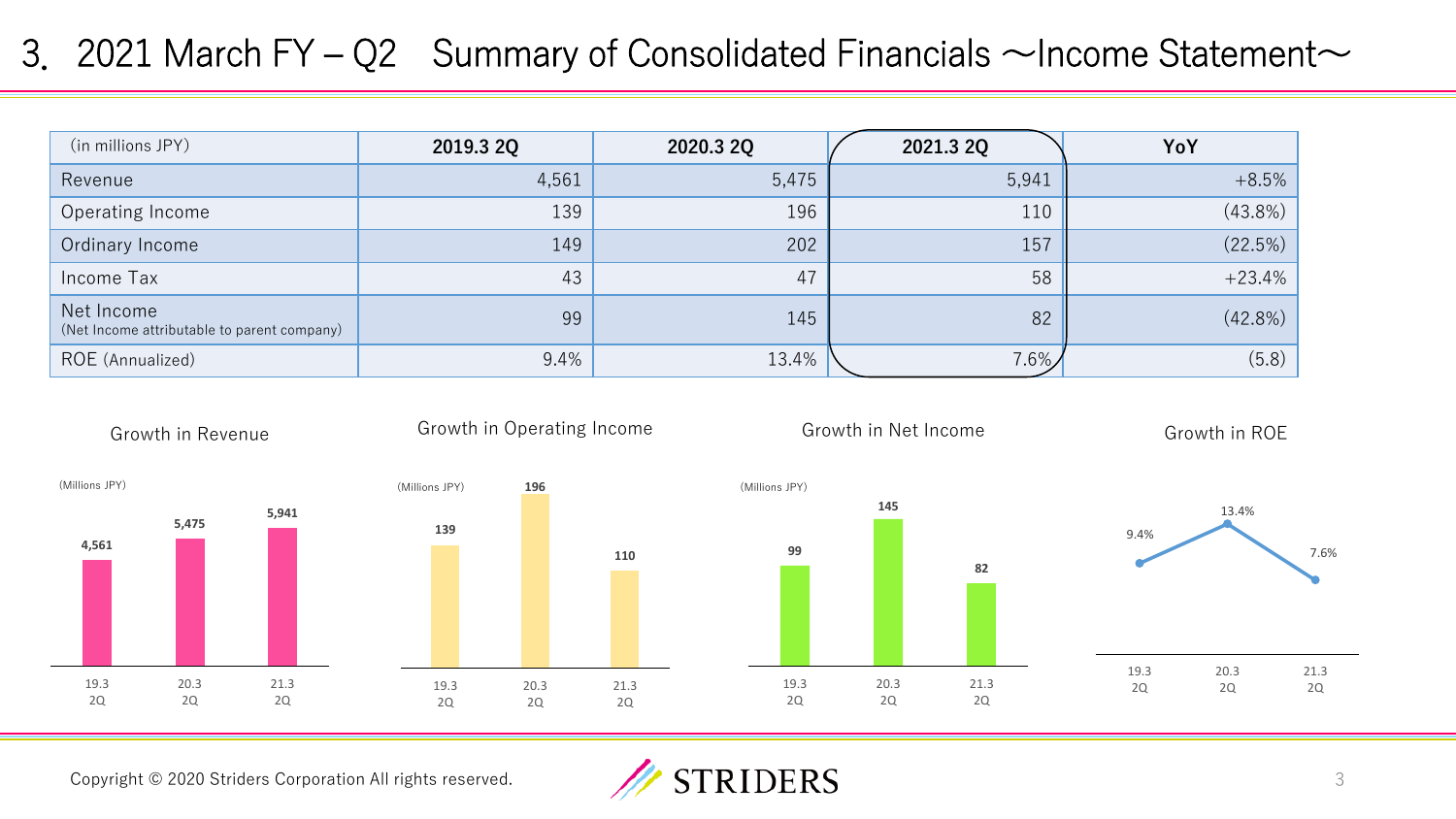### 3. 2021 March FY – Q2 Summary of Consolidated Financials  $\sim$  Income Statement $\sim$

| (in millions JPY)                                         | 2019.3 2Q | 2020.3 2Q | 2021.3 2Q | YoY        |
|-----------------------------------------------------------|-----------|-----------|-----------|------------|
| Revenue                                                   | 4,561     | 5,475     | 5,941     | $+8.5%$    |
| Operating Income                                          | 139       | 196       | 110       | $(43.8\%)$ |
| Ordinary Income                                           | 149       | 202       | 157       | (22.5%)    |
| Income Tax                                                | 43        | 47        | 58        | $+23.4%$   |
| Net Income<br>(Net Income attributable to parent company) | 99        | 145       | 82        | (42.8%)    |
| ROE (Annualized)                                          | 9.4%      | 13.4%     | $7.6\%$   | (5.8)      |



Copyright © 2020 Striders Corporation All rights reserved.

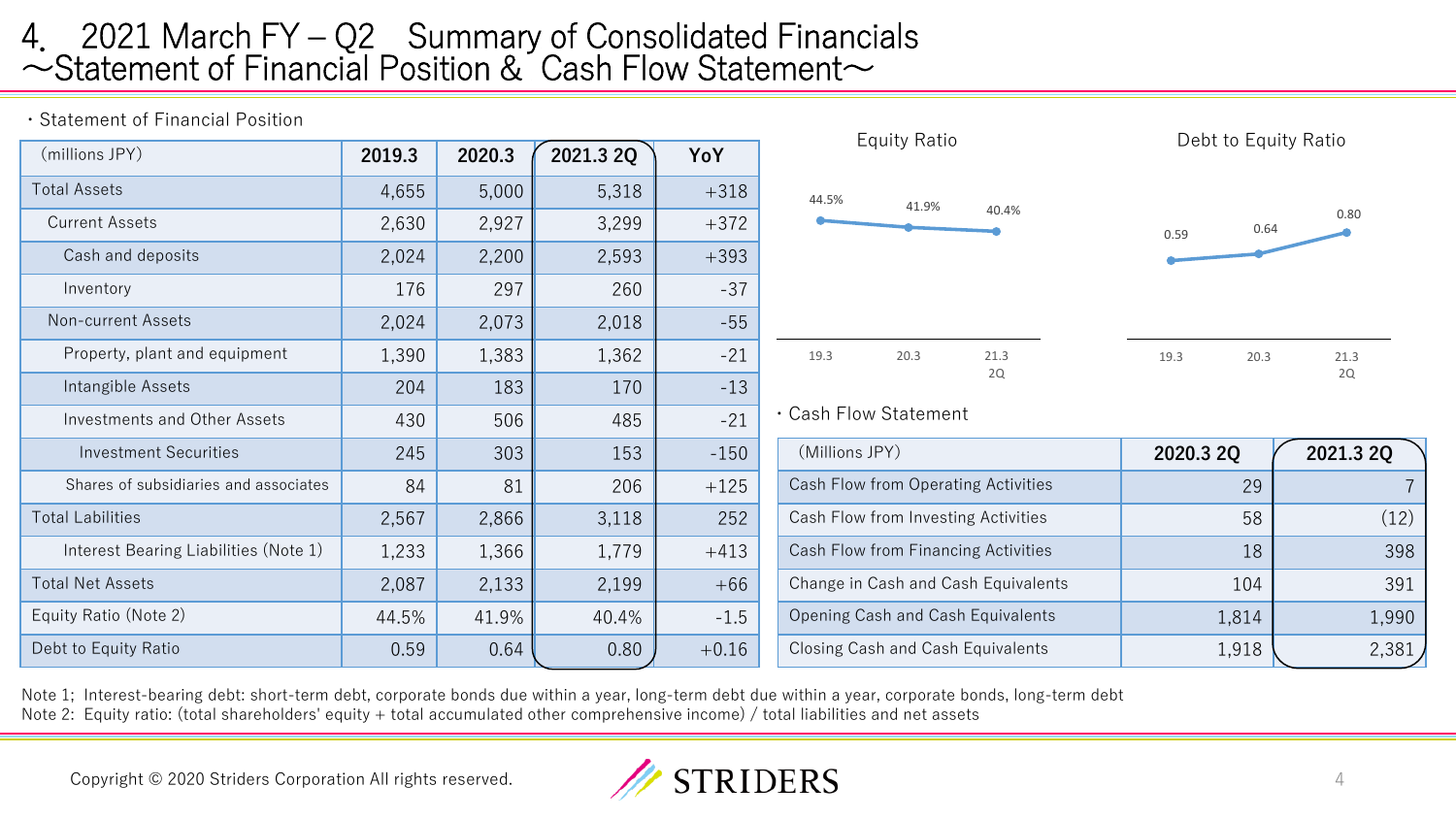### 4. 2021 March FY – Q2 Summary of Consolidated Financials  $\sim$ Statement of Financial Position & Cash Flow Statement $\sim$

・Statement of Financial Position

| (millions JPY)                        | 2019.3 | 2020.3 | 2021.3 2Q | YoY     |                |
|---------------------------------------|--------|--------|-----------|---------|----------------|
| <b>Total Assets</b>                   | 4,655  | 5,000  | 5,318     | $+318$  | 44.5%          |
| <b>Current Assets</b>                 | 2,630  | 2,927  | 3,299     | $+372$  |                |
| Cash and deposits                     | 2,024  | 2,200  | 2,593     | $+393$  |                |
| Inventory                             | 176    | 297    | 260       | $-37$   |                |
| Non-current Assets                    | 2,024  | 2,073  | 2,018     | $-55$   |                |
| Property, plant and equipment         | 1,390  | 1,383  | 1,362     | $-21$   | 19.3           |
| Intangible Assets                     | 204    | 183    | 170       | $-13$   |                |
| <b>Investments and Other Assets</b>   | 430    | 506    | 485       | $-21$   | $\cdot$ Cash F |
| <b>Investment Securities</b>          | 245    | 303    | 153       | $-150$  | (Millic        |
| Shares of subsidiaries and associates | 84     | 81     | 206       | $+125$  | Cash F         |
| <b>Total Labilities</b>               | 2,567  | 2,866  | 3,118     | 252     | Cash F         |
| Interest Bearing Liabilities (Note 1) | 1,233  | 1,366  | 1,779     | $+413$  | Cash F         |
| <b>Total Net Assets</b>               | 2,087  | 2,133  | 2,199     | $+66$   | Change         |
| Equity Ratio (Note 2)                 | 44.5%  | 41.9%  | 40.4%     | $-1.5$  | Openin         |
| Debt to Equity Ratio                  | 0.59   | 0.64   | 0.80      | $+0.16$ | Closing        |



Note 1; Interest-bearing debt: short-term debt, corporate bonds due within a year, long-term debt due within a year, corporate bonds, long-term debt Note 2: Equity ratio: (total shareholders' equity + total accumulated other comprehensive income) / total liabilities and net assets

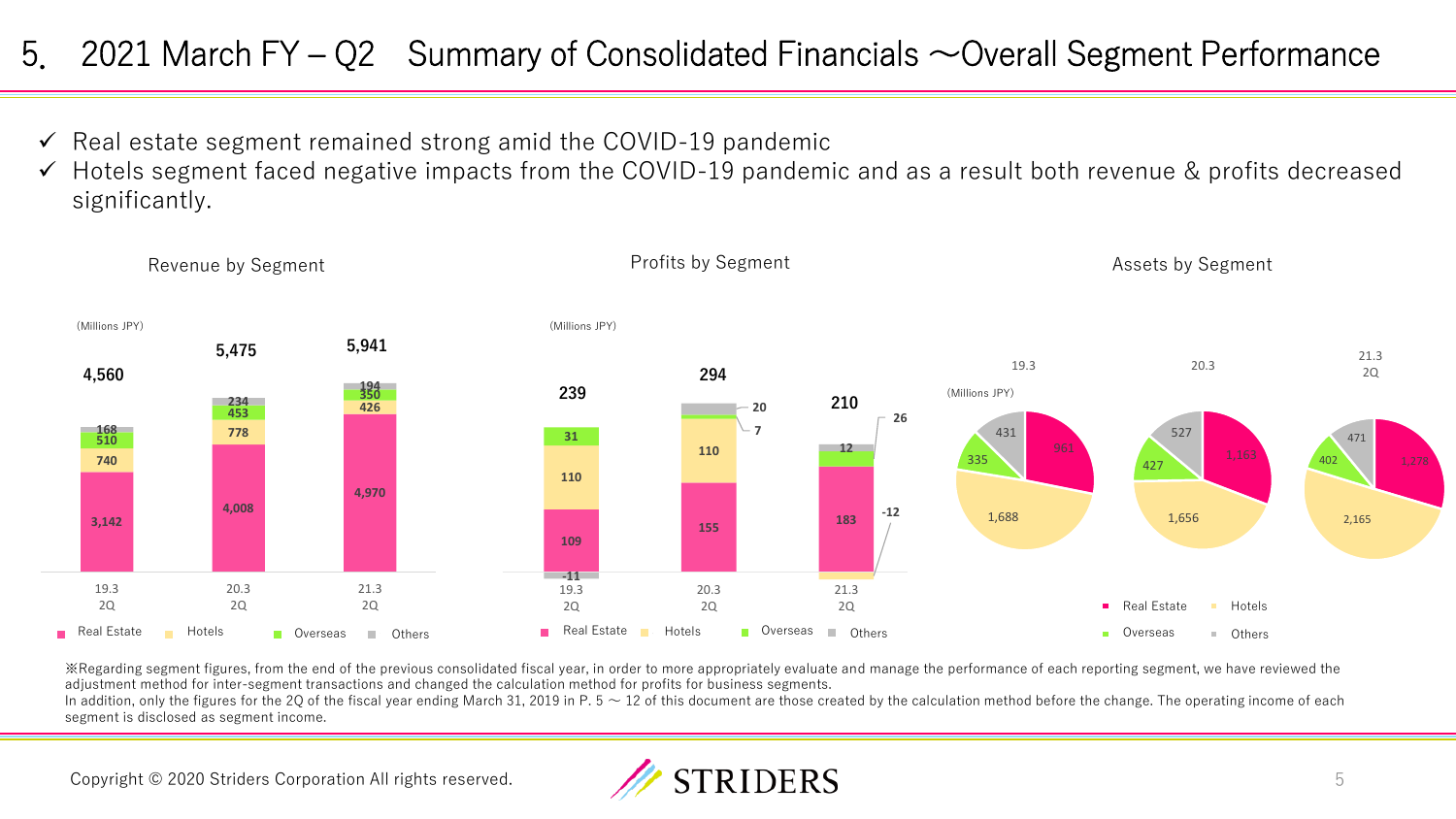### 5. 2021 March  $FY - Q2$  Summary of Consolidated Financials  $\sim$  Overall Segment Performance

- $\checkmark$  Real estate segment remained strong amid the COVID-19 pandemic
- ✓ Hotels segment faced negative impacts from the COVID-19 pandemic and as a result both revenue & profits decreased significantly.



※Regarding segment figures, from the end of the previous consolidated fiscal year, in order to more appropriately evaluate and manage the performance of each reporting segment, we have reviewed the adjustment method for inter-segment transactions and changed the calculation method for profits for business segments.

In addition, only the figures for the 2Q of the fiscal year ending March 31, 2019 in P.  $5 \sim 12$  of this document are those created by the calculation method before the change. The operating income of each segment is disclosed as segment income.

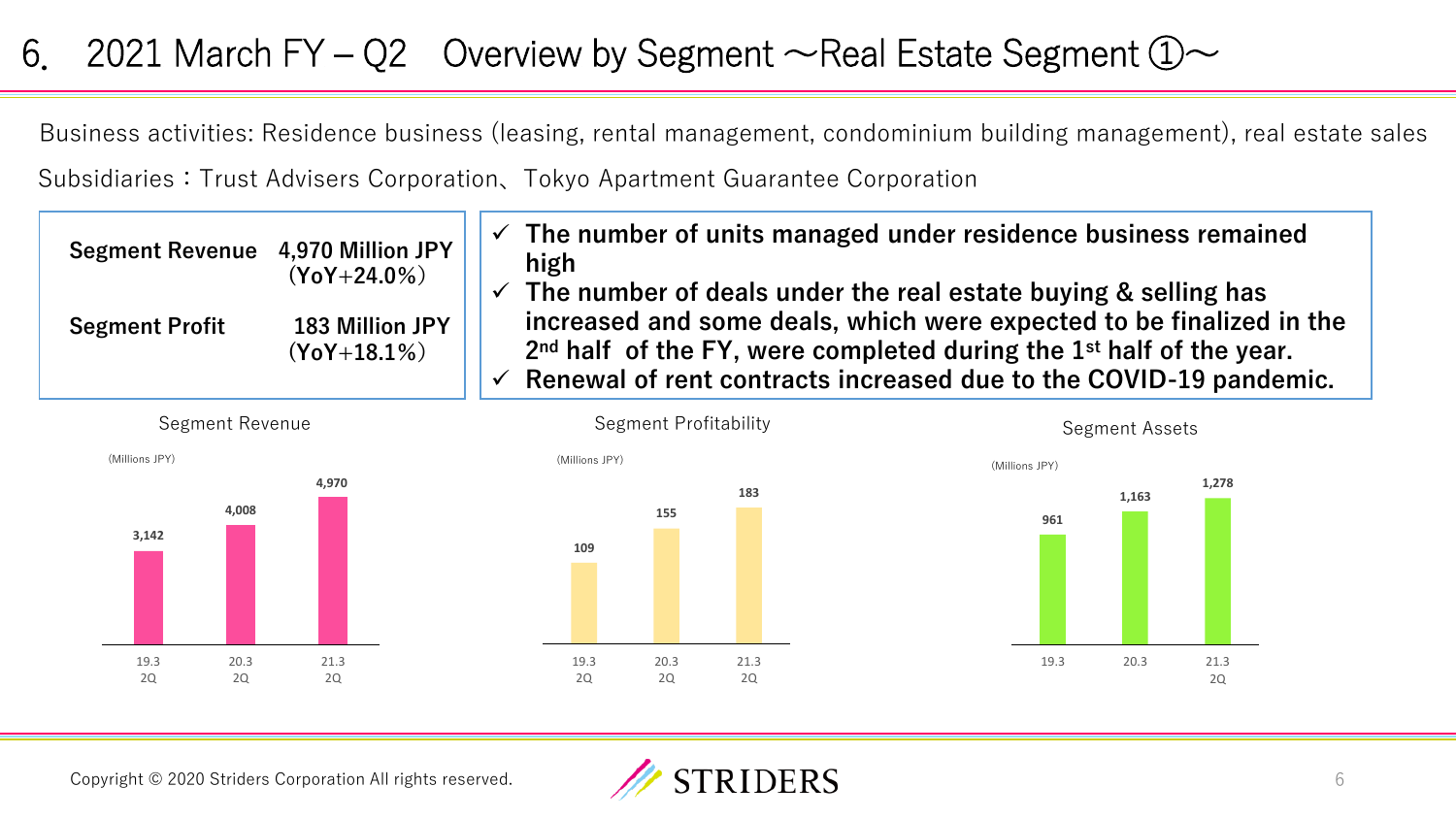## 6. 2021 March FY – Q2 Overview by Segment  $\sim$  Real Estate Segment  $\textcircled{1}\sim$

Business activities: Residence business (leasing, rental management, condominium building management), real estate sales Subsidiaries:Trust Advisers Corporation、Tokyo Apartment Guarantee Corporation

| Segment Revenue 4,970 Million JPY | $(Y_0Y + 24.0\%)$                 | $\checkmark$<br>$\checkmark$ | The number of units managed under residence business remained<br>high<br>The number of deals under the real estate buying & selling has                                                                              |
|-----------------------------------|-----------------------------------|------------------------------|----------------------------------------------------------------------------------------------------------------------------------------------------------------------------------------------------------------------|
| <b>Segment Profit</b>             | 183 Million JPY<br>$(YoY+18.1\%)$ | $\checkmark$                 | increased and some deals, which were expected to be finalized in the<br>$2nd$ half of the FY, were completed during the $1st$ half of the year.<br>Renewal of rent contracts increased due to the COVID-19 pandemic. |









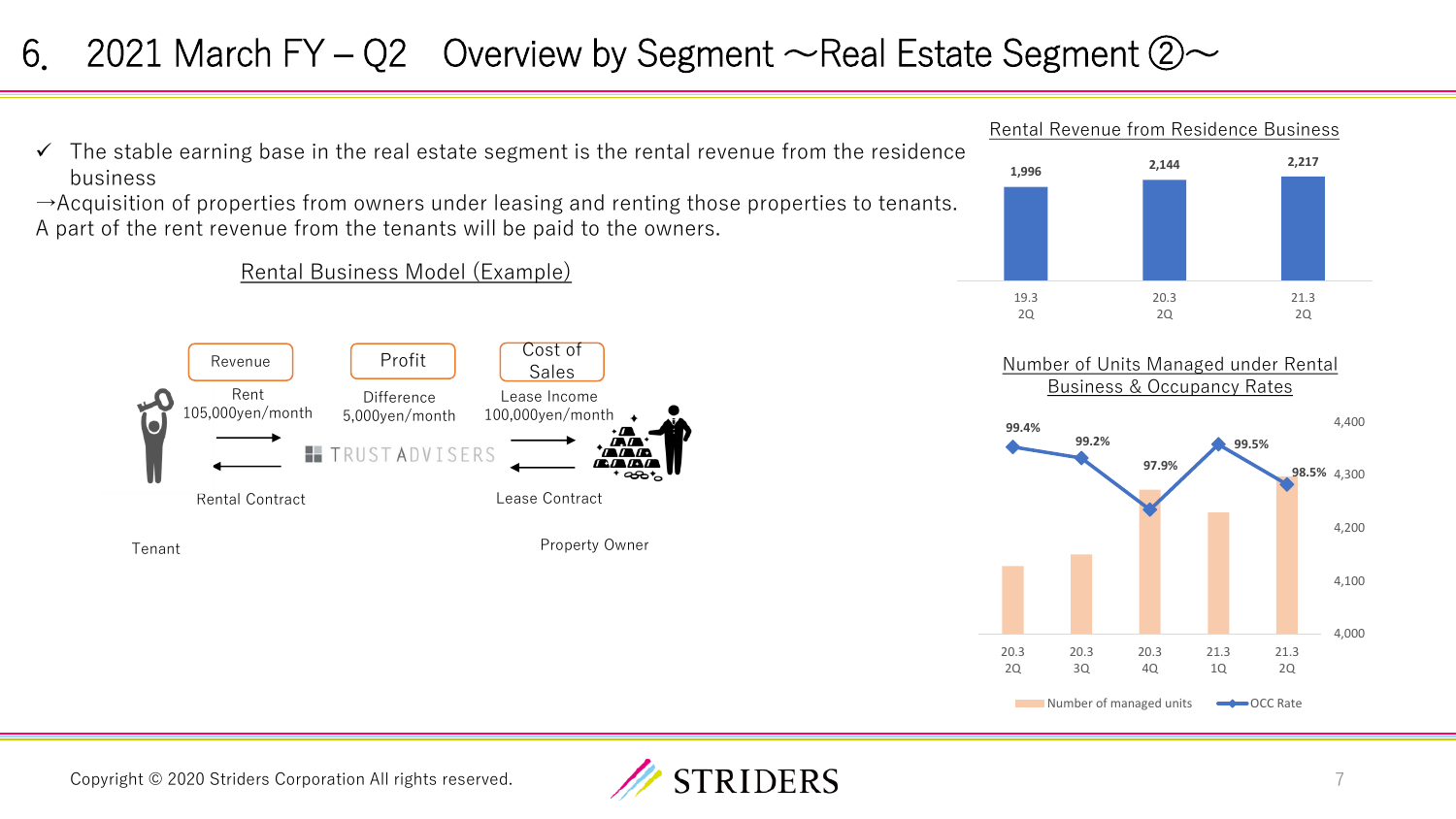## 6. 2021 March FY – Q2 Overview by Segment  $\sim$  Real Estate Segment  $\oslash \sim$

 $\checkmark$  The stable earning base in the real estate segment is the rental revenue from the residence business

 $\rightarrow$ Acquisition of properties from owners under leasing and renting those properties to tenants. A part of the rent revenue from the tenants will be paid to the owners.

### Rental Business Model (Example)









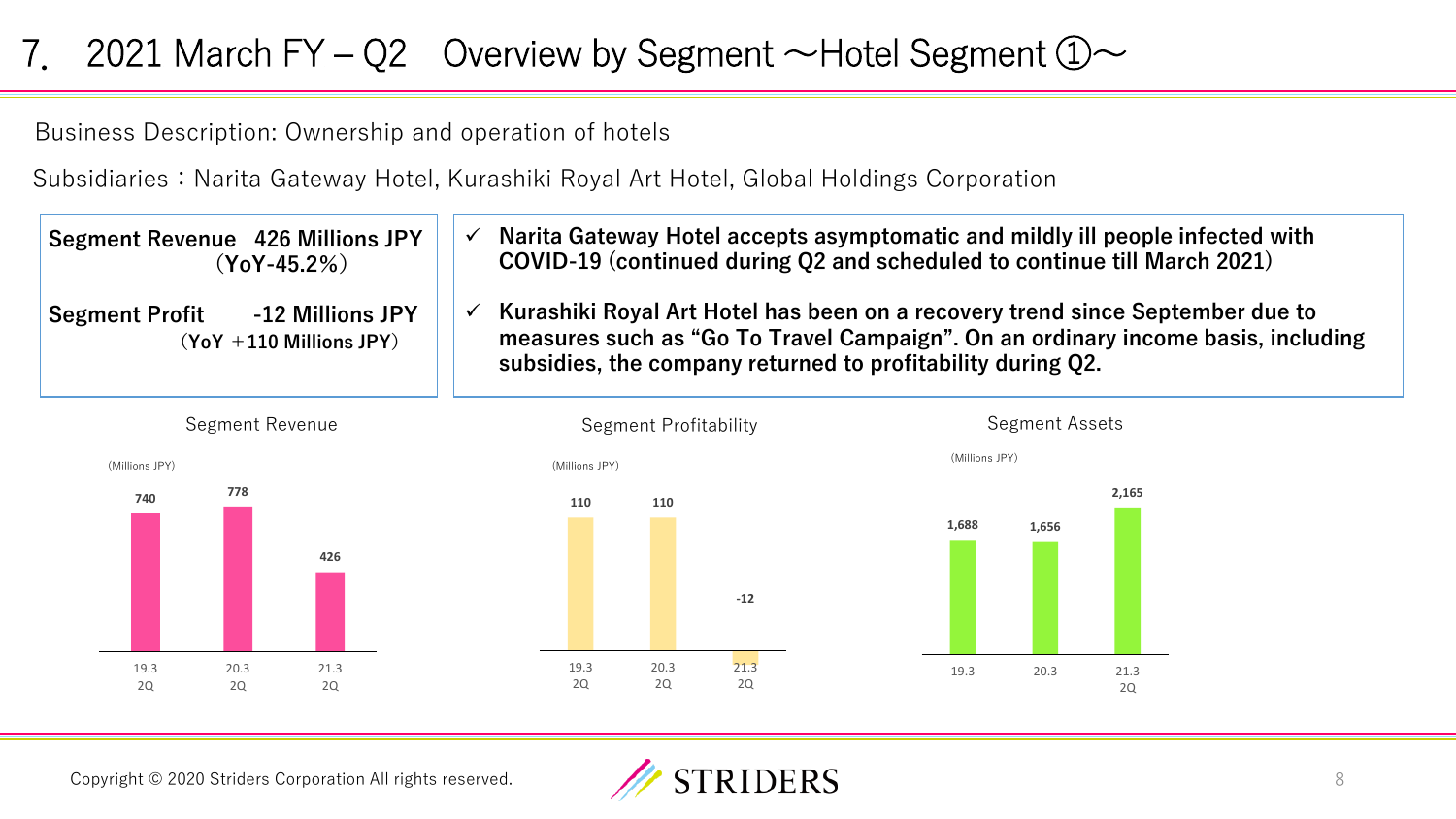# 7. 2021 March FY – Q2 Overview by Segment  $\sim$  Hotel Segment  $\mathbb{O}$   $\sim$

Business Description: Ownership and operation of hotels

Subsidiaries: Narita Gateway Hotel, Kurashiki Royal Art Hotel, Global Holdings Corporation

| <b>Segment Revenue 426 Millions JPY</b><br>$(Y_0Y - 45.2\%)$            | Narita Gateway Hotel accepts asymptomatic and mildly ill people infected with<br>COVID-19 (continued during Q2 and scheduled to continue till March 2021)                                                                        |
|-------------------------------------------------------------------------|----------------------------------------------------------------------------------------------------------------------------------------------------------------------------------------------------------------------------------|
| -12 Millions JPY<br><b>Segment Profit</b><br>$(YoY + 110$ Millions JPY) | Kurashiki Royal Art Hotel has been on a recovery trend since September due to<br>measures such as "Go To Travel Campaign". On an ordinary income basis, including<br>subsidies, the company returned to profitability during Q2. |





**2,165** 

2Q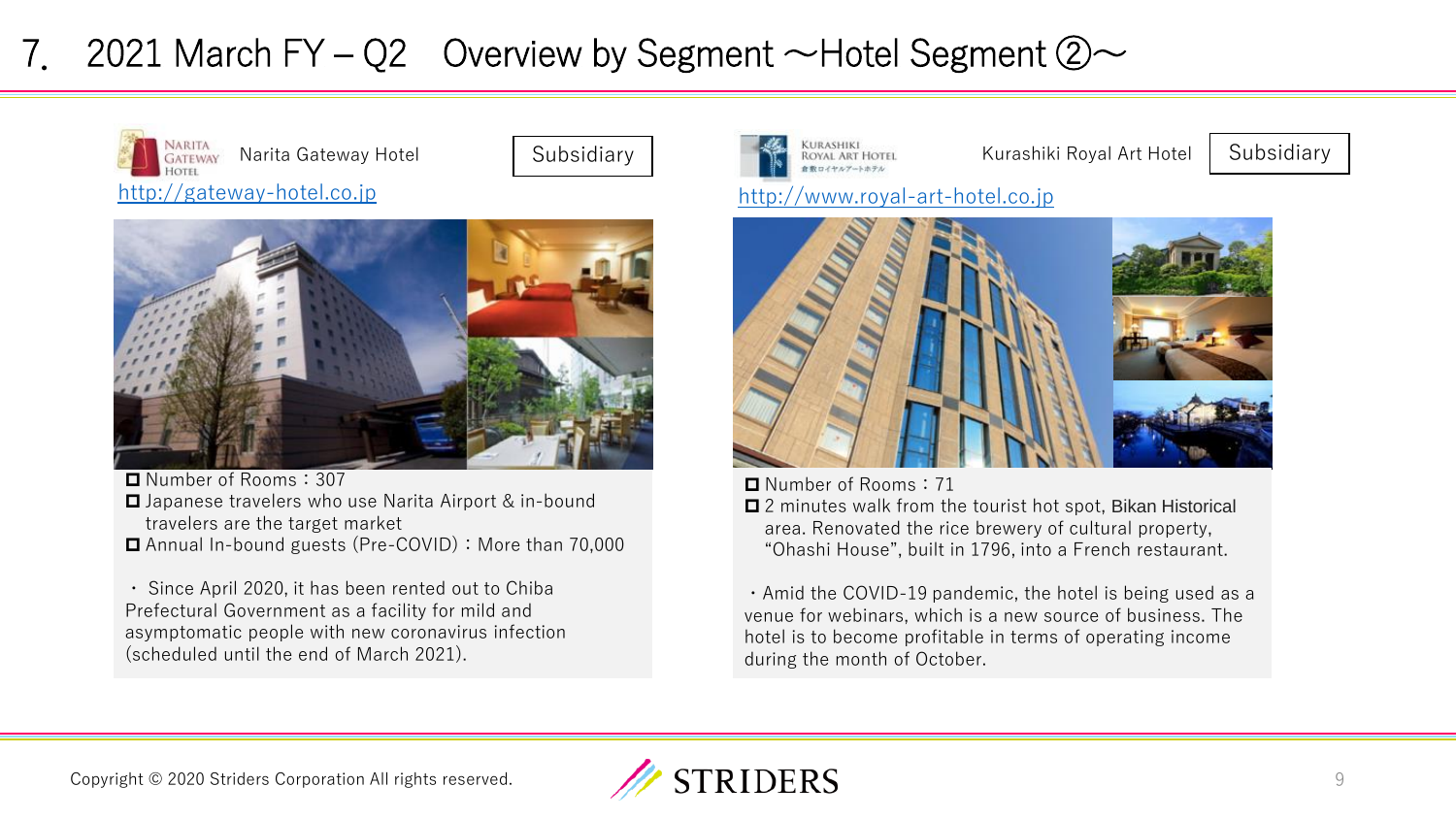# 7. 2021 March FY – Q2 Overview by Segment  $\sim$  Hotel Segment  $\oslash \sim$







■ Number of Rooms: 307

- **□** Japanese travelers who use Narita Airport & in-bound travelers are the target market
- Annual In-bound guests (Pre-COVID): More than 70.000

・ Since April 2020, it has been rented out to Chiba Prefectural Government as a facility for mild and asymptomatic people with new coronavirus infection (scheduled until the end of March 2021).





■ Number of Rooms: 71

■ 2 minutes walk from the tourist hot spot, Bikan Historical area. Renovated the rice brewery of cultural property, "Ohashi House", built in 1796, into a French restaurant.

・Amid the COVID-19 pandemic, the hotel is being used as a venue for webinars, which is a new source of business. The hotel is to become profitable in terms of operating income during the month of October.

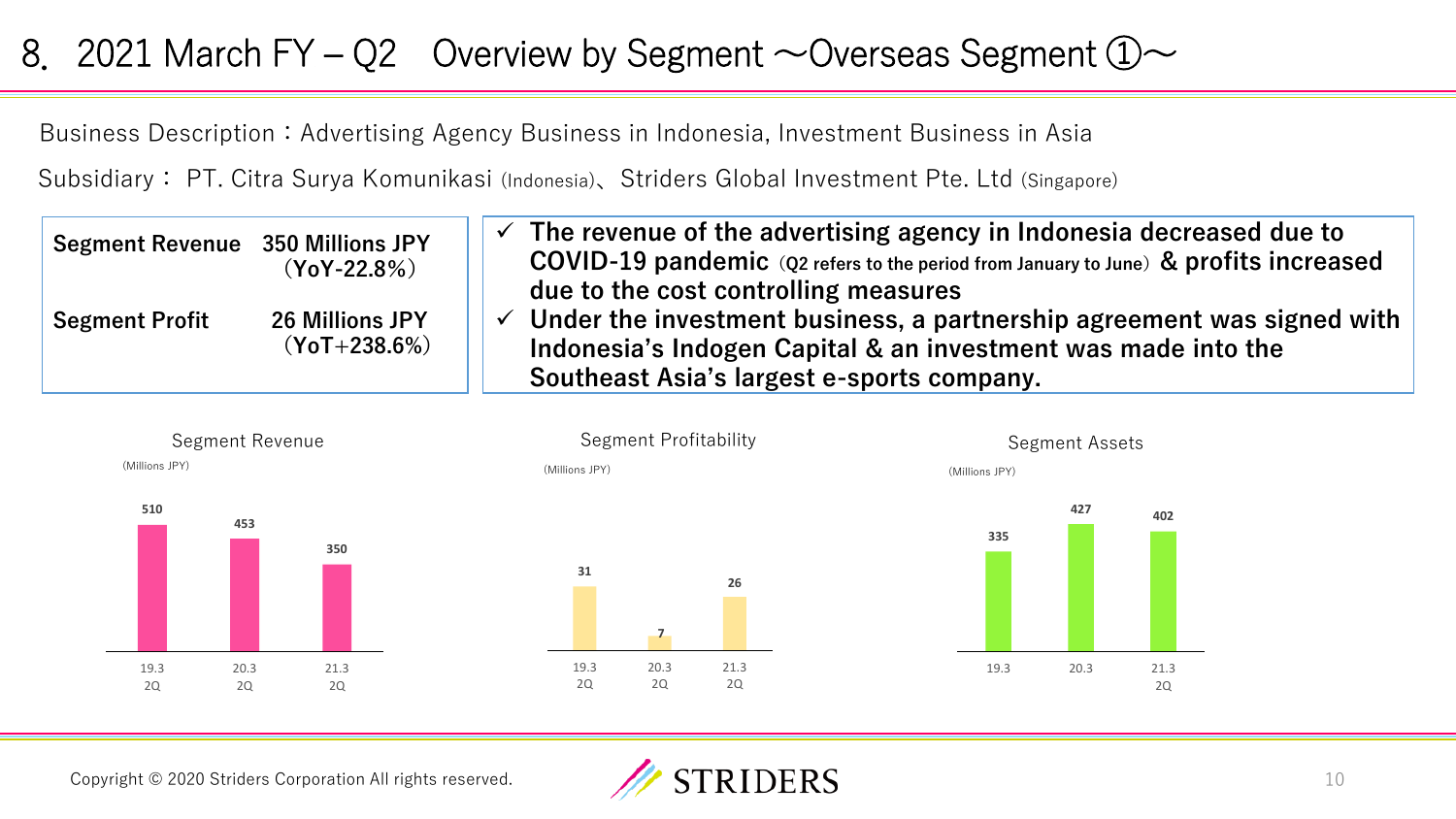### 8. 2021 March FY – Q2 Overview by Segment  $\sim$  Overseas Segment  $\textcircled{1}\sim$

Business Description: Advertising Agency Business in Indonesia, Investment Business in Asia

Subsidiary: PT. Citra Surya Komunikasi (Indonesia)、Striders Global Investment Pte. Ltd (Singapore)

| <b>Segment Revenue</b> 350 Millions JPY | $(YoY-22.8%)$                            | The revenue of the advertising agency in Indonesia decreased due to<br>COVID-19 pandemic (Q2 refers to the period from January to June) & profits increased<br>due to the cost controlling measures             |
|-----------------------------------------|------------------------------------------|-----------------------------------------------------------------------------------------------------------------------------------------------------------------------------------------------------------------|
| <b>Segment Profit</b>                   | <b>26 Millions JPY</b><br>$(YoT+238.6%)$ | $\checkmark$ Under the investment business, a partnership agreement was signed with $\checkmark$<br>Indonesia's Indogen Capital & an investment was made into the<br>Southeast Asia's largest e-sports company. |



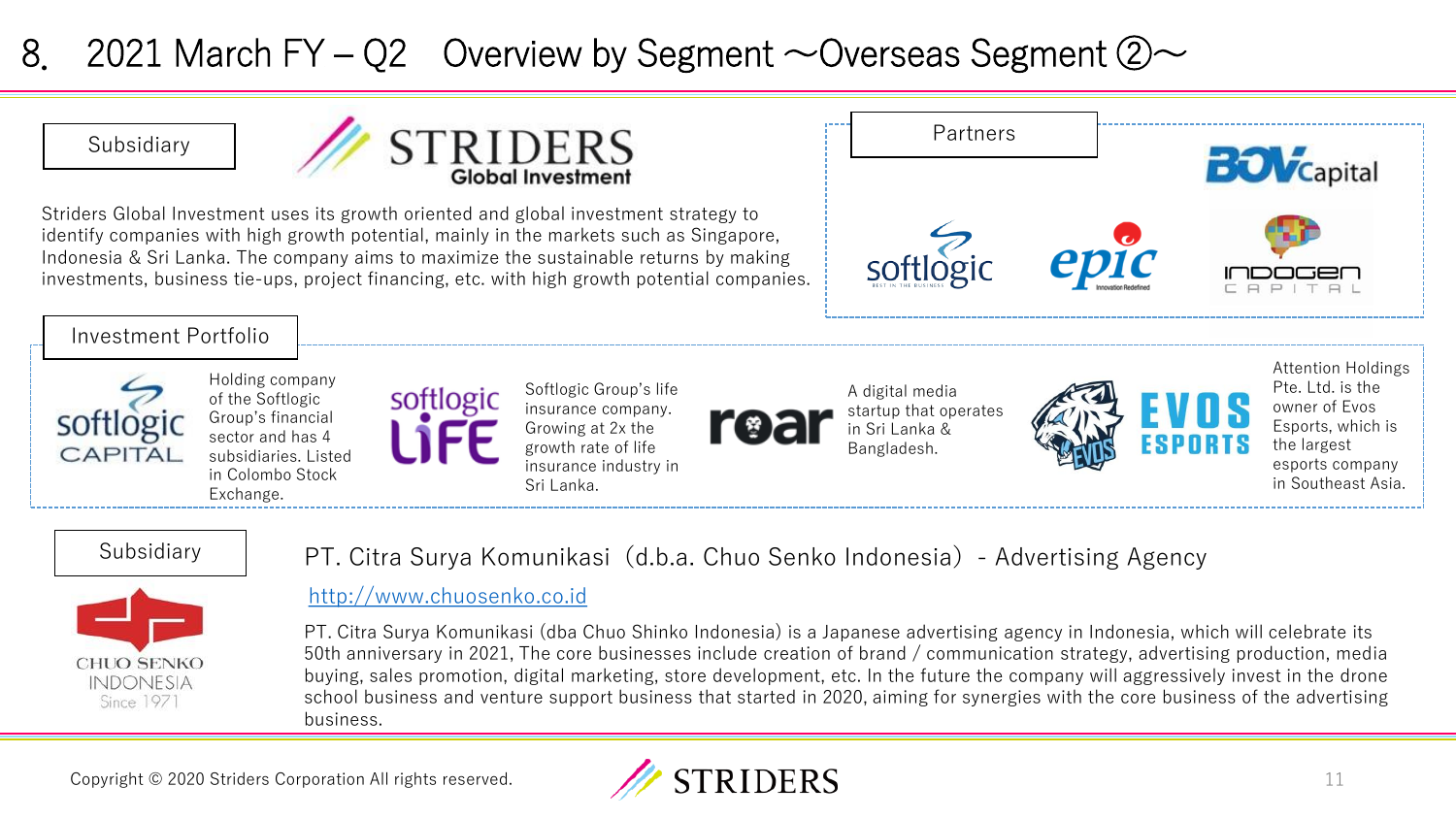## 8. 2021 March FY – Q2 Overview by Segment  $\sim$  Overseas Segment  $\oslash \sim$



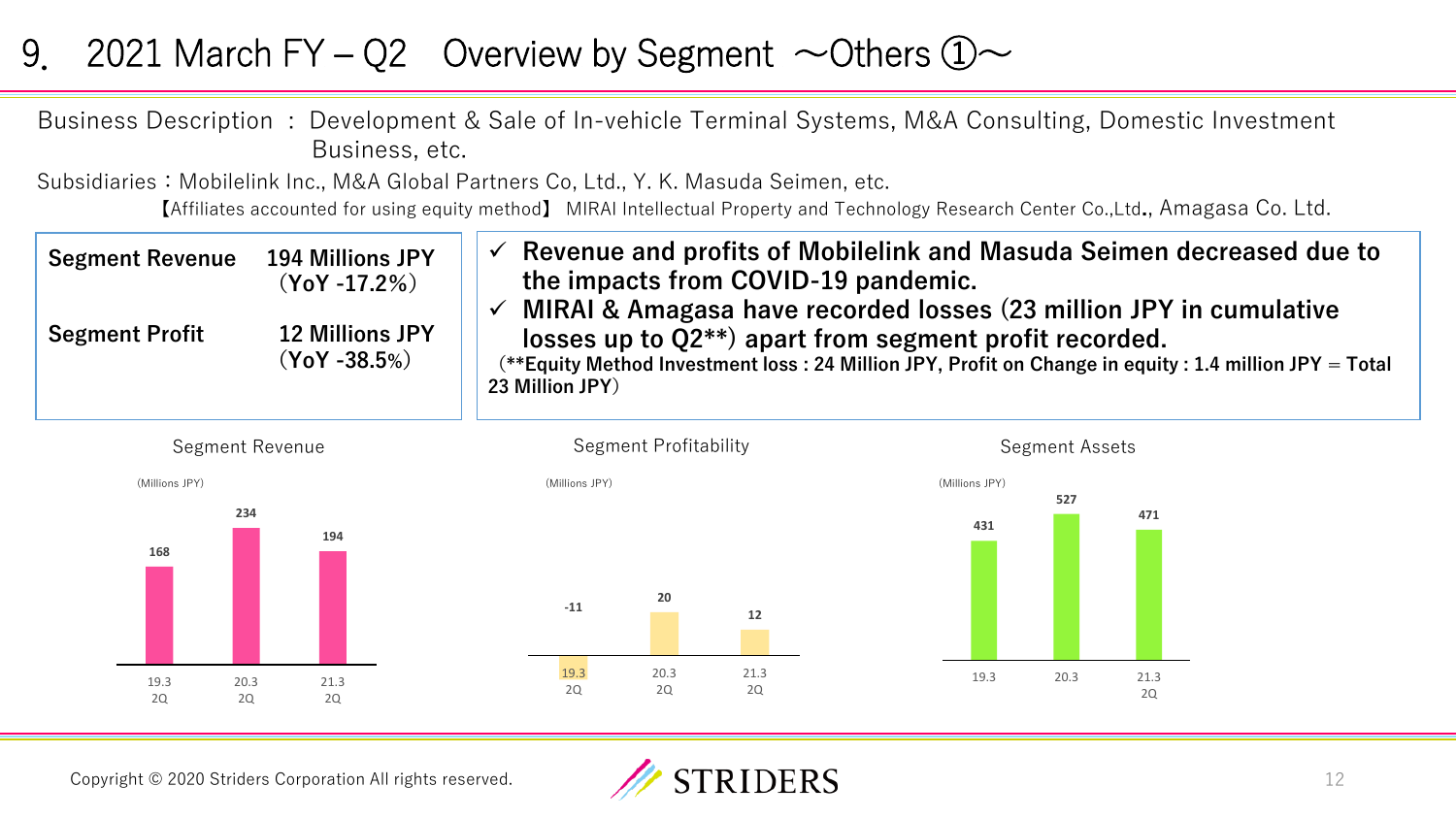### 9. 2021 March FY – Q2 Overview by Segment  $\sim$  Others  $\textcircled{1}\sim$

Business Description : Development & Sale of In-vehicle Terminal Systems, M&A Consulting, Domestic Investment Business, etc.

Subsidiaries: Mobilelink Inc., M&A Global Partners Co, Ltd., Y. K. Masuda Seimen, etc. 【Affiliates accounted for using equity method】 MIRAI Intellectual Property and Technology Research Center Co.,Ltd**.**, Amagasa Co. Ltd.

| <b>Segment Revenue</b> | <b>194 Millions JPY</b><br>$(YoY - 17.2\%)$ | Revenue and profits of Mobilelink and Masuda Seimen decreased due to<br>the impacts from COVID-19 pandemic.<br>MIRAI & Amagasa have recorded losses (23 million JPY in cumulative      |
|------------------------|---------------------------------------------|----------------------------------------------------------------------------------------------------------------------------------------------------------------------------------------|
| <b>Segment Profit</b>  | <b>12 Millions JPY</b><br>$(YoY - 38.5%)$   | losses up to $Q2^{**}$ apart from segment profit recorded.<br>(**Equity Method Investment loss: 24 Million JPY, Profit on Change in equity: 1.4 million JPY = Total<br>23 Million JPY) |



Copyright © 2020 Striders Corporation All rights reserved.

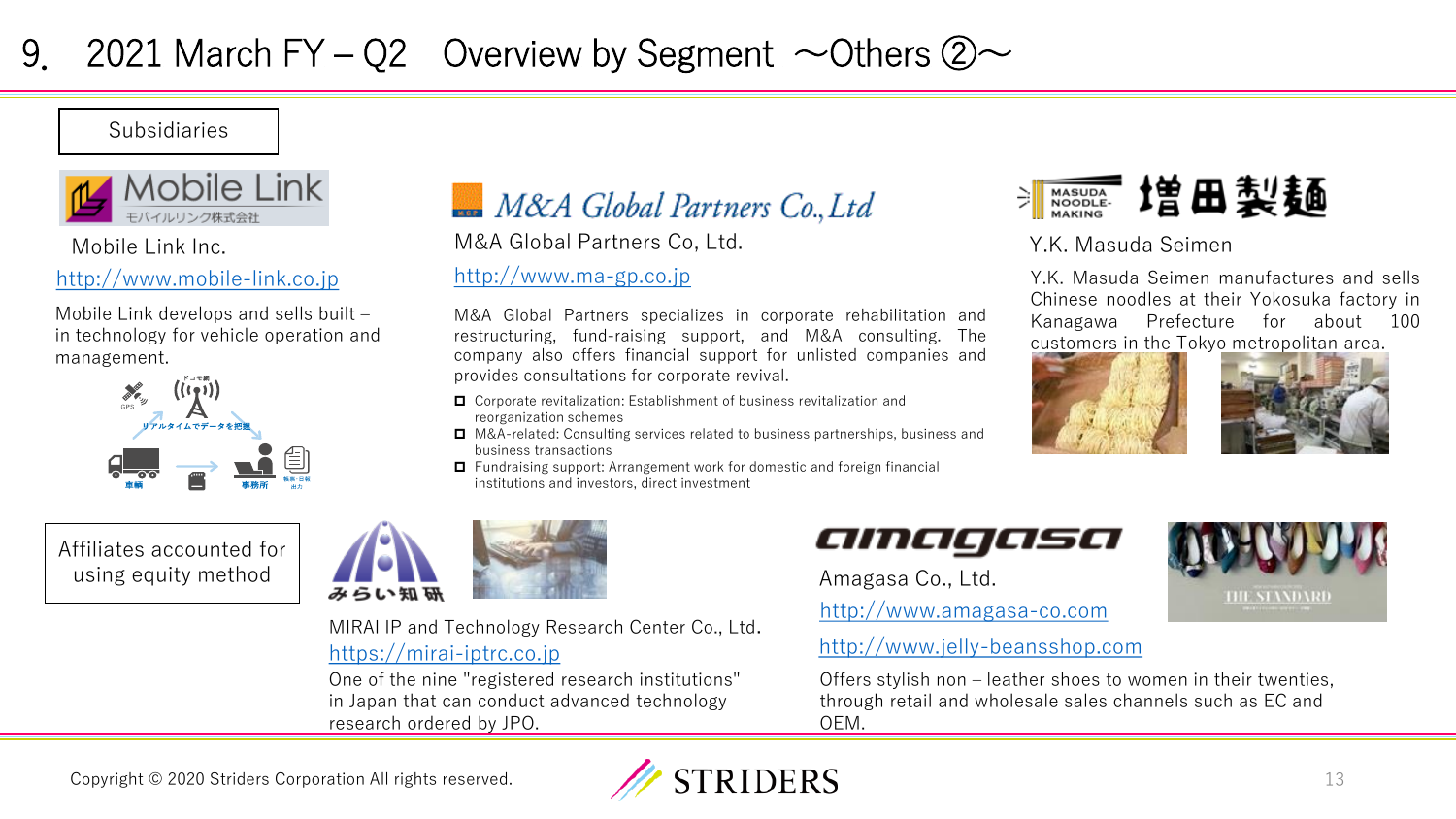## 9. 2021 March FY – Q2 Overview by Segment  $\sim$  Others  $\oslash \sim$

Subsidiaries



### [http://www.mobile-link.co.jp](http://www.mobile-link.co.jp/) [http://www.ma-gp.co.jp](http://www.ma-gp.co.jp/)

Mobile Link develops and sells built – in technology for vehicle operation and management.



Affiliates accounted for using equity method



Mobile Link Inc. M&A Global Partners Co, Ltd. Y.K. Masuda Seimen

M&A Global Partners specializes in corporate rehabilitation and restructuring, fund-raising support, and M&A consulting. The company also offers financial support for unlisted companies and provides consultations for corporate revival.

- Corporate revitalization: Establishment of business revitalization and reorganization schemes
- **□** M&A-related: Consulting services related to business partnerships, business and business transactions
- Fundraising support: Arrangement work for domestic and foreign financial institutions and investors, direct investment



Y.K. Masuda Seimen manufactures and sells Chinese noodles at their Yokosuka factory in Kanagawa Prefecture for about 100 customers in the Tokyo metropolitan area.





**THE SEANDARD** 





[https://mirai-iptrc.co.jp](https://mirai-iptrc.co.jp/) MIRAI IP and Technology Research Center Co., Ltd.

One of the nine "registered research institutions" in Japan that can conduct advanced technology research ordered by JPO.



Amagasa Co., Ltd.

[http://www.amagasa-co.com](http://www.amagasa-co.com/)

### [http://www.jelly-beansshop.com](http://www.jelly-beansshop.com/)

Offers stylish non – leather shoes to women in their twenties, through retail and wholesale sales channels such as EC and OEM.